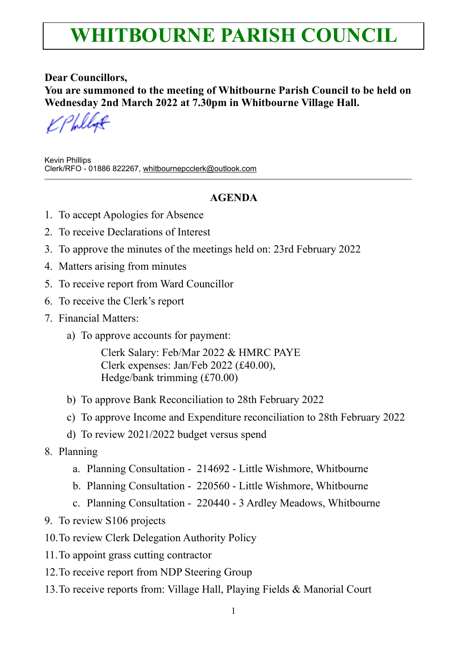## **WHITBOURNE PARISH COUNCIL**

**Dear Councillors, You are summoned to the meeting of Whitbourne Parish Council to be held on Wednesday 2nd March 2022 at 7.30pm in Whitbourne Village Hall.**

Kevin Phillips Clerk/RFO - 01886 822267, [whitbournepcclerk@outlook.com](mailto:whitbournepcclerk@outlook.com)

## **AGENDA**

- 1. To accept Apologies for Absence
- 2. To receive Declarations of Interest
- 3. To approve the minutes of the meetings held on: 23rd February 2022
- 4. Matters arising from minutes
- 5. To receive report from Ward Councillor
- 6. To receive the Clerk's report
- 7. Financial Matters:
	- a) To approve accounts for payment:

Clerk Salary: Feb/Mar 2022 & HMRC PAYE Clerk expenses: Jan/Feb 2022 (£40.00), Hedge/bank trimming (£70.00)

- b) To approve Bank Reconciliation to 28th February 2022
- c) To approve Income and Expenditure reconciliation to 28th February 2022
- d) To review 2021/2022 budget versus spend
- 8. Planning
	- a. Planning Consultation 214692 Little Wishmore, Whitbourne
	- b. Planning Consultation 220560 Little Wishmore, Whitbourne
	- c. Planning Consultation 220440 3 Ardley Meadows, Whitbourne
- 9. To review S106 projects
- 10.To review Clerk Delegation Authority Policy
- 11.To appoint grass cutting contractor
- 12.To receive report from NDP Steering Group
- 13.To receive reports from: Village Hall, Playing Fields & Manorial Court